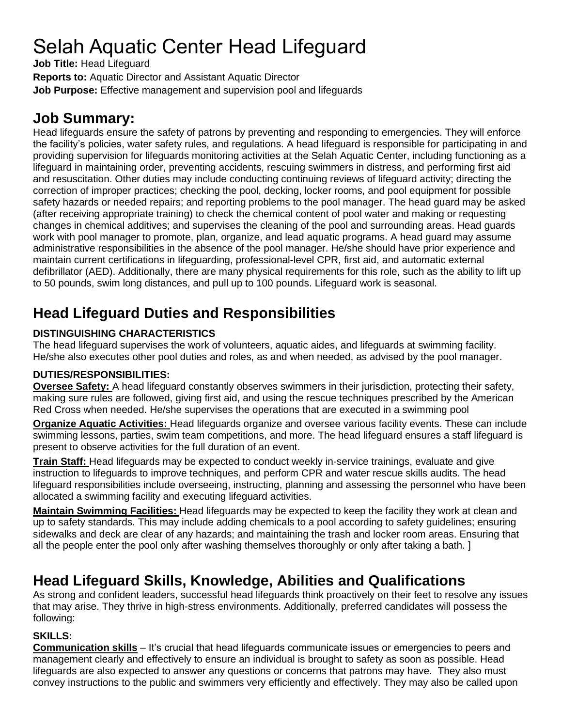# Selah Aquatic Center Head Lifeguard

**Job Title:** Head Lifeguard

**Reports to:** Aquatic Director and Assistant Aquatic Director

**Job Purpose:** Effective management and supervision pool and lifeguards

# **Job Summary:**

Head lifeguards ensure the safety of patrons by preventing and responding to emergencies. They will enforce the facility's policies, water safety rules, and regulations. A head lifeguard is responsible for participating in and providing supervision for lifeguards monitoring activities at the Selah Aquatic Center, including functioning as a lifeguard in maintaining order, preventing accidents, rescuing swimmers in distress, and performing first aid and resuscitation. Other duties may include conducting continuing reviews of lifeguard activity; directing the correction of improper practices; checking the pool, decking, locker rooms, and pool equipment for possible safety hazards or needed repairs; and reporting problems to the pool manager. The head guard may be asked (after receiving appropriate training) to check the chemical content of pool water and making or requesting changes in chemical additives; and supervises the cleaning of the pool and surrounding areas. Head guards work with pool manager to promote, plan, organize, and lead aquatic programs. A head guard may assume administrative responsibilities in the absence of the pool manager. He/she should have prior experience and maintain current certifications in lifeguarding, professional-level CPR, first aid, and automatic external defibrillator (AED). Additionally, there are many physical requirements for this role, such as the ability to lift up to 50 pounds, swim long distances, and pull up to 100 pounds. Lifeguard work is seasonal.

# **Head Lifeguard Duties and Responsibilities**

### **DISTINGUISHING CHARACTERISTICS**

The head lifeguard supervises the work of volunteers, aquatic aides, and lifeguards at swimming facility. He/she also executes other pool duties and roles, as and when needed, as advised by the pool manager.

### **DUTIES/RESPONSIBILITIES:**

**Oversee Safety:** A head lifeguard constantly observes swimmers in their jurisdiction, protecting their safety, making sure rules are followed, giving first aid, and using the rescue techniques prescribed by the American Red Cross when needed. He/she supervises the operations that are executed in a swimming pool

**Organize Aquatic Activities:** Head lifeguards organize and oversee various facility events. These can include swimming lessons, parties, swim team competitions, and more. The head lifeguard ensures a staff lifeguard is present to observe activities for the full duration of an event.

**Train Staff:** Head lifeguards may be expected to conduct weekly in-service trainings, evaluate and give instruction to lifeguards to improve techniques, and perform CPR and water rescue skills audits. The head lifeguard responsibilities include overseeing, instructing, planning and assessing the personnel who have been allocated a swimming facility and executing lifeguard activities.

**Maintain Swimming Facilities:** Head lifeguards may be expected to keep the facility they work at clean and up to safety standards. This may include adding chemicals to a pool according to safety guidelines; ensuring sidewalks and deck are clear of any hazards; and maintaining the trash and locker room areas. Ensuring that all the people enter the pool only after washing themselves thoroughly or only after taking a bath. ]

# **Head Lifeguard Skills, Knowledge, Abilities and Qualifications**

As strong and confident leaders, successful head lifeguards think proactively on their feet to resolve any issues that may arise. They thrive in high-stress environments. Additionally, preferred candidates will possess the following:

### **SKILLS:**

**Communication skills** – It's crucial that head lifeguards communicate issues or emergencies to peers and management clearly and effectively to ensure an individual is brought to safety as soon as possible. Head lifeguards are also expected to answer any questions or concerns that patrons may have. They also must convey instructions to the public and swimmers very efficiently and effectively. They may also be called upon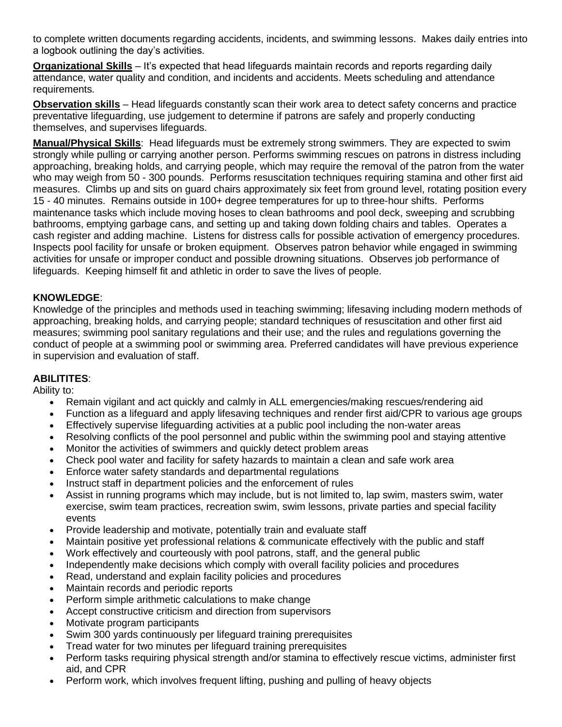to complete written documents regarding accidents, incidents, and swimming lessons. Makes daily entries into a logbook outlining the day's activities.

**Organizational Skills** – It's expected that head lifeguards maintain records and reports regarding daily attendance, water quality and condition, and incidents and accidents. Meets scheduling and attendance requirements.

**Observation skills** – Head lifeguards constantly scan their work area to detect safety concerns and practice preventative lifeguarding, use judgement to determine if patrons are safely and properly conducting themselves, and supervises lifeguards.

**Manual/Physical Skills**: Head lifeguards must be extremely strong swimmers. They are expected to swim strongly while pulling or carrying another person. Performs swimming rescues on patrons in distress including approaching, breaking holds, and carrying people, which may require the removal of the patron from the water who may weigh from 50 - 300 pounds. Performs resuscitation techniques requiring stamina and other first aid measures. Climbs up and sits on guard chairs approximately six feet from ground level, rotating position every 15 - 40 minutes. Remains outside in 100+ degree temperatures for up to three-hour shifts. Performs maintenance tasks which include moving hoses to clean bathrooms and pool deck, sweeping and scrubbing bathrooms, emptying garbage cans, and setting up and taking down folding chairs and tables. Operates a cash register and adding machine. Listens for distress calls for possible activation of emergency procedures. Inspects pool facility for unsafe or broken equipment. Observes patron behavior while engaged in swimming activities for unsafe or improper conduct and possible drowning situations. Observes job performance of lifeguards. Keeping himself fit and athletic in order to save the lives of people.

#### **KNOWLEDGE**:

Knowledge of the principles and methods used in teaching swimming; lifesaving including modern methods of approaching, breaking holds, and carrying people; standard techniques of resuscitation and other first aid measures; swimming pool sanitary regulations and their use; and the rules and regulations governing the conduct of people at a swimming pool or swimming area. Preferred candidates will have previous experience in supervision and evaluation of staff.

#### **ABILITITES**:

Ability to:

- Remain vigilant and act quickly and calmly in ALL emergencies/making rescues/rendering aid
- Function as a lifeguard and apply lifesaving techniques and render first aid/CPR to various age groups
- Effectively supervise lifeguarding activities at a public pool including the non-water areas
- Resolving conflicts of the pool personnel and public within the swimming pool and staying attentive
- Monitor the activities of swimmers and quickly detect problem areas
- Check pool water and facility for safety hazards to maintain a clean and safe work area
- Enforce water safety standards and departmental regulations
- Instruct staff in department policies and the enforcement of rules
- Assist in running programs which may include, but is not limited to, lap swim, masters swim, water exercise, swim team practices, recreation swim, swim lessons, private parties and special facility events
- Provide leadership and motivate, potentially train and evaluate staff
- Maintain positive yet professional relations & communicate effectively with the public and staff
- Work effectively and courteously with pool patrons, staff, and the general public
- Independently make decisions which comply with overall facility policies and procedures
- Read, understand and explain facility policies and procedures
- Maintain records and periodic reports
- Perform simple arithmetic calculations to make change
- Accept constructive criticism and direction from supervisors
- Motivate program participants
- Swim 300 yards continuously per lifeguard training prerequisites
- Tread water for two minutes per lifeguard training prerequisites
- Perform tasks requiring physical strength and/or stamina to effectively rescue victims, administer first aid, and CPR
- Perform work, which involves frequent lifting, pushing and pulling of heavy objects